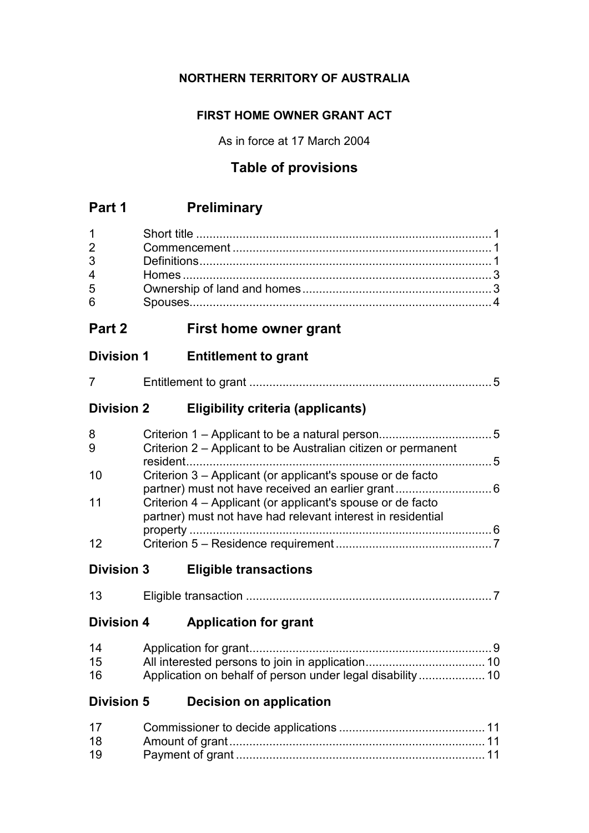# **NORTHERN TERRITORY OF AUSTRALIA**

### **FIRST HOME OWNER GRANT ACT**

As in force at 17 March 2004

# **Table of provisions**

# **Part 1 Preliminary**

| $1 \quad \blacksquare$         |  |
|--------------------------------|--|
| $2 \left( \frac{1}{2} \right)$ |  |
|                                |  |
| $\overline{4}$                 |  |
| 5                              |  |
| 6                              |  |

# **Part 2 First home owner grant**

# **Division 1 Entitlement to grant**

# **Division 2 Eligibility criteria (applicants)**

| 8  |                                                                                                                           |     |
|----|---------------------------------------------------------------------------------------------------------------------------|-----|
| 9  | Criterion 2 – Applicant to be Australian citizen or permanent                                                             | - 5 |
| 10 | Criterion 3 – Applicant (or applicant's spouse or de facto                                                                |     |
| 11 | Criterion 4 – Applicant (or applicant's spouse or de facto<br>partner) must not have had relevant interest in residential |     |
|    |                                                                                                                           | 6   |
| 12 |                                                                                                                           |     |

# **Division 3 Eligible transactions**

| <i>∃</i> ligible transaction |
|------------------------------|
|------------------------------|

### **Division 4 Application for grant**

| 14 |  |
|----|--|
| 15 |  |
| 16 |  |

# **Division 5 Decision on application**

| 17 |  |
|----|--|
| 18 |  |
| 19 |  |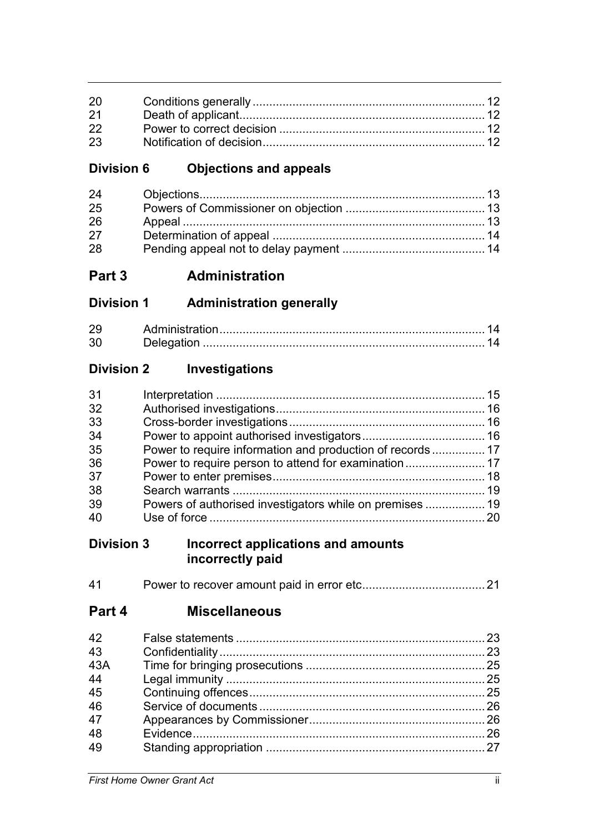| 20 |  |
|----|--|
| 21 |  |
| 22 |  |
| 23 |  |

# **Division 6 Objections and appeals**

| 24 |  |
|----|--|
| 25 |  |
| 26 |  |
| 27 |  |
| 28 |  |

**Part 3 Administration**

# **Division 1 Administration generally**

| റ | Administration |  |
|---|----------------|--|
|   | Delegation     |  |

# **Division 2 Investigations**

| 31 |  |
|----|--|
| 32 |  |
| 33 |  |
| 34 |  |
| 35 |  |
| 36 |  |
| 37 |  |
| 38 |  |
| 39 |  |
| 40 |  |
|    |  |

### **Division 3 Incorrect applications and amounts incorrectly paid**

| 41 |  |  |  |  |
|----|--|--|--|--|
|----|--|--|--|--|

**Part 4 Miscellaneous**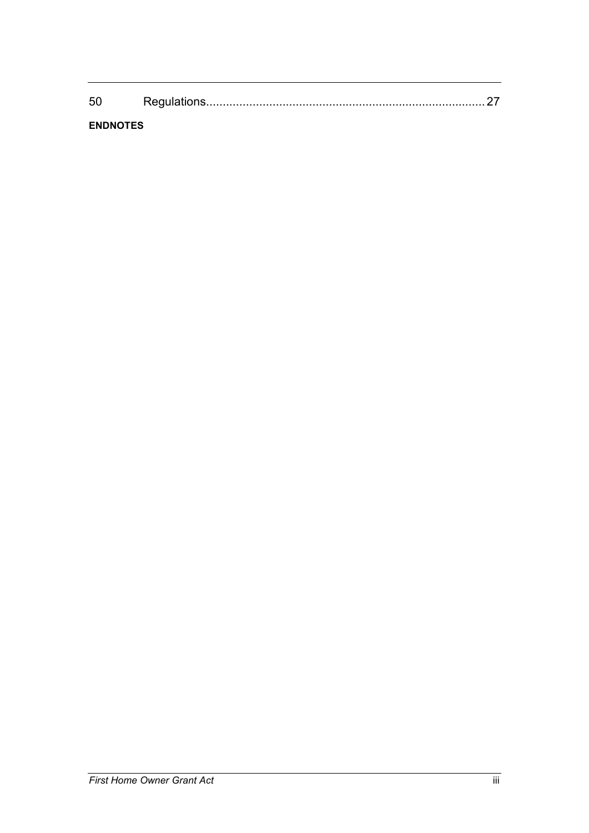| -56 |  |
|-----|--|
|     |  |

### **ENDNOTES**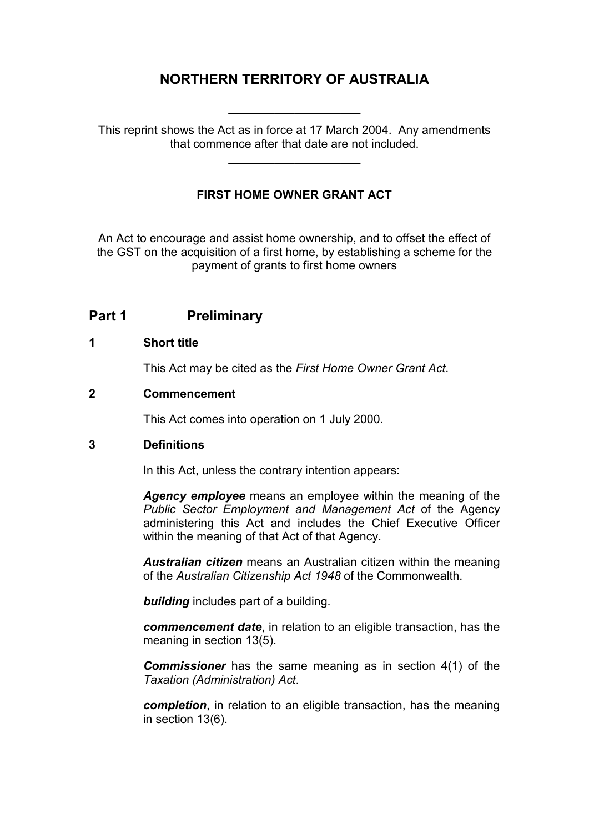# **NORTHERN TERRITORY OF AUSTRALIA**

This reprint shows the Act as in force at 17 March 2004. Any amendments that commence after that date are not included.

\_\_\_\_\_\_\_\_\_\_\_\_\_\_\_\_\_\_\_\_

\_\_\_\_\_\_\_\_\_\_\_\_\_\_\_\_\_\_\_\_

### **FIRST HOME OWNER GRANT ACT**

An Act to encourage and assist home ownership, and to offset the effect of the GST on the acquisition of a first home, by establishing a scheme for the payment of grants to first home owners

### **Part 1 Preliminary**

#### **1 Short title**

This Act may be cited as the *First Home Owner Grant Act*.

### **2 Commencement**

This Act comes into operation on 1 July 2000.

### **3 Definitions**

In this Act, unless the contrary intention appears:

*Agency employee* means an employee within the meaning of the *Public Sector Employment and Management Act* of the Agency administering this Act and includes the Chief Executive Officer within the meaning of that Act of that Agency.

*Australian citizen* means an Australian citizen within the meaning of the *Australian Citizenship Act 1948* of the Commonwealth.

*building* includes part of a building.

*commencement date*, in relation to an eligible transaction, has the meaning in section 13(5).

*Commissioner* has the same meaning as in section 4(1) of the *Taxation (Administration) Act*.

*completion*, in relation to an eligible transaction, has the meaning in section 13(6).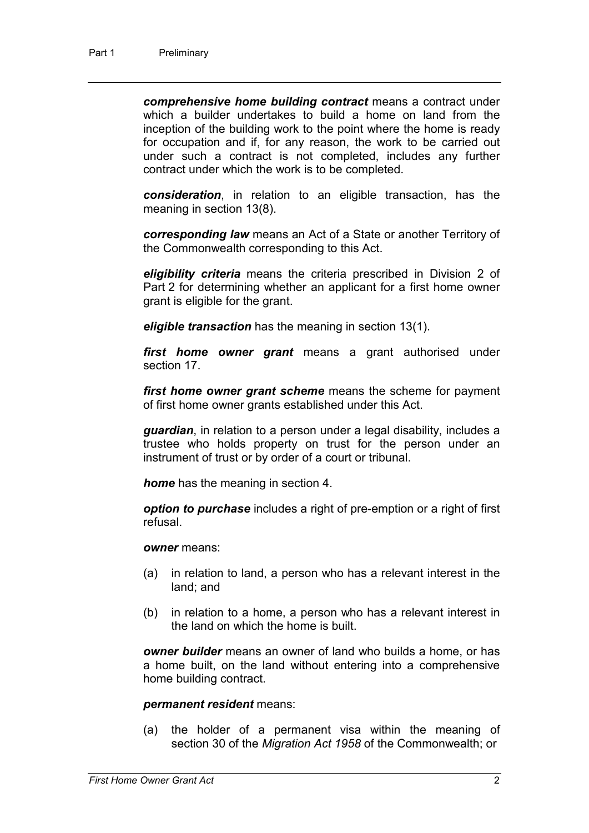*comprehensive home building contract* means a contract under which a builder undertakes to build a home on land from the inception of the building work to the point where the home is ready for occupation and if, for any reason, the work to be carried out under such a contract is not completed, includes any further contract under which the work is to be completed.

*consideration*, in relation to an eligible transaction, has the meaning in section 13(8).

*corresponding law* means an Act of a State or another Territory of the Commonwealth corresponding to this Act.

*eligibility criteria* means the criteria prescribed in Division 2 of Part 2 for determining whether an applicant for a first home owner grant is eligible for the grant.

*eligible transaction* has the meaning in section 13(1).

*first home owner grant* means a grant authorised under section 17.

*first home owner grant scheme* means the scheme for payment of first home owner grants established under this Act.

*guardian*, in relation to a person under a legal disability, includes a trustee who holds property on trust for the person under an instrument of trust or by order of a court or tribunal.

*home* has the meaning in section 4.

*option to purchase* includes a right of pre-emption or a right of first refusal.

*owner* means:

- (a) in relation to land, a person who has a relevant interest in the land; and
- (b) in relation to a home, a person who has a relevant interest in the land on which the home is built.

*owner builder* means an owner of land who builds a home, or has a home built, on the land without entering into a comprehensive home building contract.

#### *permanent resident* means:

(a) the holder of a permanent visa within the meaning of section 30 of the *Migration Act 1958* of the Commonwealth; or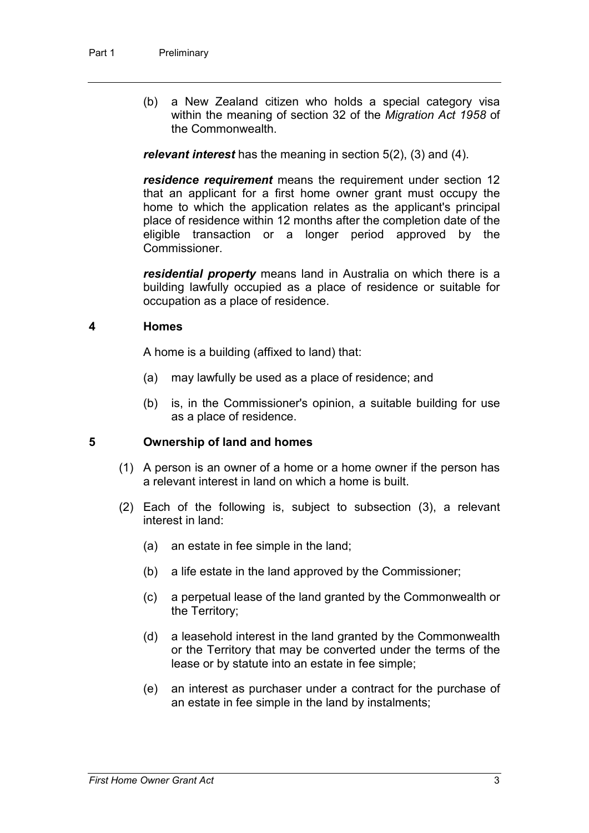(b) a New Zealand citizen who holds a special category visa within the meaning of section 32 of the *Migration Act 1958* of the Commonwealth.

*relevant interest* has the meaning in section 5(2), (3) and (4).

*residence requirement* means the requirement under section 12 that an applicant for a first home owner grant must occupy the home to which the application relates as the applicant's principal place of residence within 12 months after the completion date of the eligible transaction or a longer period approved by the Commissioner.

*residential property* means land in Australia on which there is a building lawfully occupied as a place of residence or suitable for occupation as a place of residence.

### **4 Homes**

A home is a building (affixed to land) that:

- (a) may lawfully be used as a place of residence; and
- (b) is, in the Commissioner's opinion, a suitable building for use as a place of residence.

### **5 Ownership of land and homes**

- (1) A person is an owner of a home or a home owner if the person has a relevant interest in land on which a home is built.
- (2) Each of the following is, subject to subsection (3), a relevant interest in land:
	- (a) an estate in fee simple in the land;
	- (b) a life estate in the land approved by the Commissioner;
	- (c) a perpetual lease of the land granted by the Commonwealth or the Territory;
	- (d) a leasehold interest in the land granted by the Commonwealth or the Territory that may be converted under the terms of the lease or by statute into an estate in fee simple;
	- (e) an interest as purchaser under a contract for the purchase of an estate in fee simple in the land by instalments;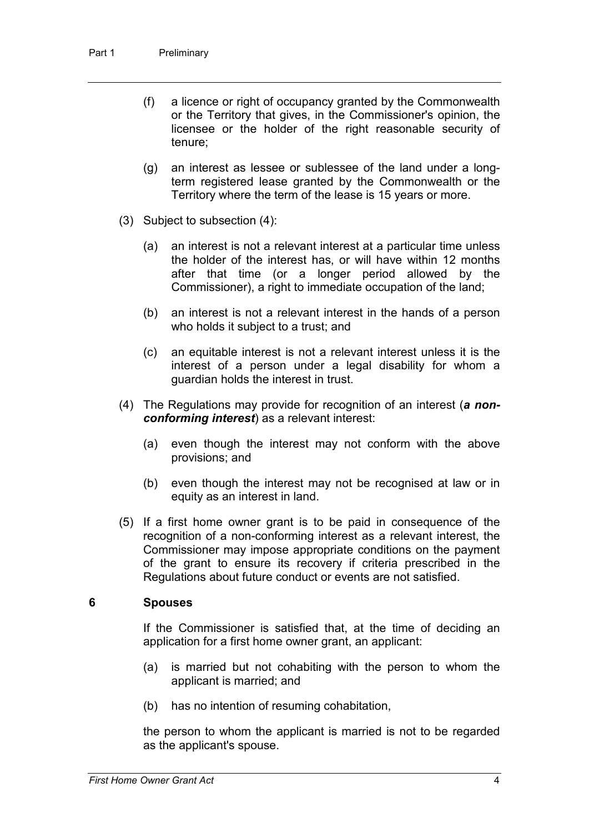- (f) a licence or right of occupancy granted by the Commonwealth or the Territory that gives, in the Commissioner's opinion, the licensee or the holder of the right reasonable security of tenure;
- (g) an interest as lessee or sublessee of the land under a longterm registered lease granted by the Commonwealth or the Territory where the term of the lease is 15 years or more.
- (3) Subject to subsection (4):
	- (a) an interest is not a relevant interest at a particular time unless the holder of the interest has, or will have within 12 months after that time (or a longer period allowed by the Commissioner), a right to immediate occupation of the land;
	- (b) an interest is not a relevant interest in the hands of a person who holds it subject to a trust; and
	- (c) an equitable interest is not a relevant interest unless it is the interest of a person under a legal disability for whom a guardian holds the interest in trust.
- (4) The Regulations may provide for recognition of an interest (*a nonconforming interest*) as a relevant interest:
	- (a) even though the interest may not conform with the above provisions; and
	- (b) even though the interest may not be recognised at law or in equity as an interest in land.
- (5) If a first home owner grant is to be paid in consequence of the recognition of a non-conforming interest as a relevant interest, the Commissioner may impose appropriate conditions on the payment of the grant to ensure its recovery if criteria prescribed in the Regulations about future conduct or events are not satisfied.

#### **6 Spouses**

If the Commissioner is satisfied that, at the time of deciding an application for a first home owner grant, an applicant:

- (a) is married but not cohabiting with the person to whom the applicant is married; and
- (b) has no intention of resuming cohabitation,

the person to whom the applicant is married is not to be regarded as the applicant's spouse.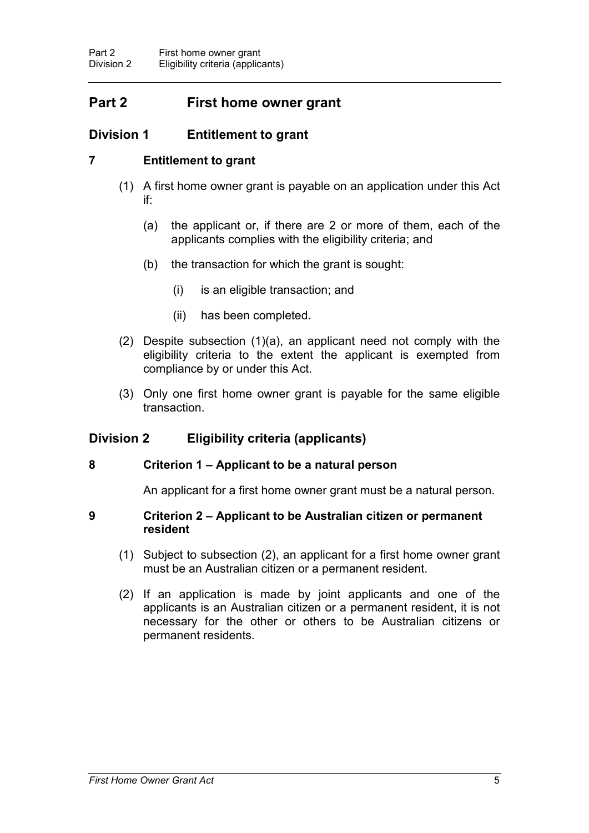# **Part 2 First home owner grant**

# **Division 1 Entitlement to grant**

### **7 Entitlement to grant**

- (1) A first home owner grant is payable on an application under this Act if:
	- (a) the applicant or, if there are 2 or more of them, each of the applicants complies with the eligibility criteria; and
	- (b) the transaction for which the grant is sought:
		- (i) is an eligible transaction; and
		- (ii) has been completed.
- (2) Despite subsection (1)(a), an applicant need not comply with the eligibility criteria to the extent the applicant is exempted from compliance by or under this Act.
- (3) Only one first home owner grant is payable for the same eligible transaction.

### **Division 2 Eligibility criteria (applicants)**

### **8 Criterion 1 – Applicant to be a natural person**

An applicant for a first home owner grant must be a natural person.

### **9 Criterion 2 – Applicant to be Australian citizen or permanent resident**

- (1) Subject to subsection (2), an applicant for a first home owner grant must be an Australian citizen or a permanent resident.
- (2) If an application is made by joint applicants and one of the applicants is an Australian citizen or a permanent resident, it is not necessary for the other or others to be Australian citizens or permanent residents.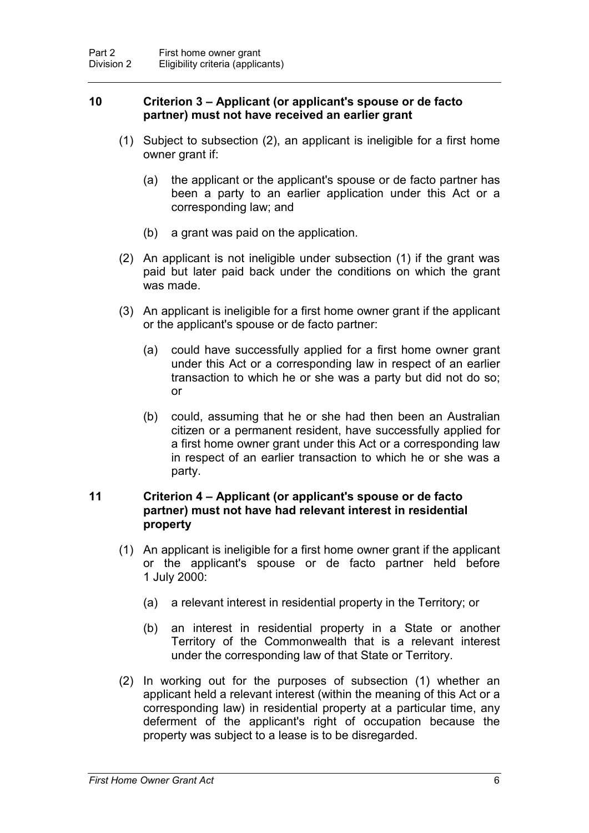### **10 Criterion 3 – Applicant (or applicant's spouse or de facto partner) must not have received an earlier grant**

- (1) Subject to subsection (2), an applicant is ineligible for a first home owner grant if:
	- (a) the applicant or the applicant's spouse or de facto partner has been a party to an earlier application under this Act or a corresponding law; and
	- (b) a grant was paid on the application.
- (2) An applicant is not ineligible under subsection (1) if the grant was paid but later paid back under the conditions on which the grant was made.
- (3) An applicant is ineligible for a first home owner grant if the applicant or the applicant's spouse or de facto partner:
	- (a) could have successfully applied for a first home owner grant under this Act or a corresponding law in respect of an earlier transaction to which he or she was a party but did not do so; or
	- (b) could, assuming that he or she had then been an Australian citizen or a permanent resident, have successfully applied for a first home owner grant under this Act or a corresponding law in respect of an earlier transaction to which he or she was a party.

### **11 Criterion 4 – Applicant (or applicant's spouse or de facto partner) must not have had relevant interest in residential property**

- (1) An applicant is ineligible for a first home owner grant if the applicant or the applicant's spouse or de facto partner held before 1 July 2000:
	- (a) a relevant interest in residential property in the Territory; or
	- (b) an interest in residential property in a State or another Territory of the Commonwealth that is a relevant interest under the corresponding law of that State or Territory.
- (2) In working out for the purposes of subsection (1) whether an applicant held a relevant interest (within the meaning of this Act or a corresponding law) in residential property at a particular time, any deferment of the applicant's right of occupation because the property was subject to a lease is to be disregarded.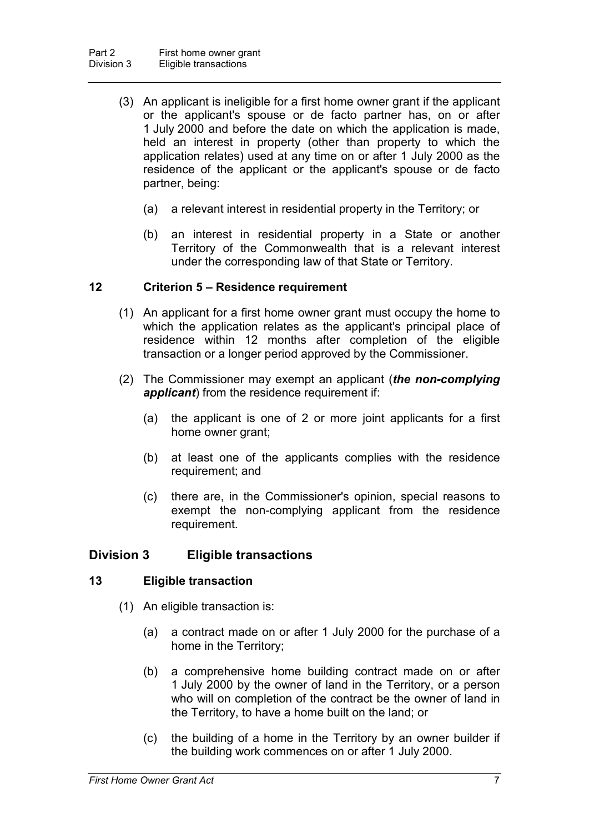- (3) An applicant is ineligible for a first home owner grant if the applicant or the applicant's spouse or de facto partner has, on or after 1 July 2000 and before the date on which the application is made, held an interest in property (other than property to which the application relates) used at any time on or after 1 July 2000 as the residence of the applicant or the applicant's spouse or de facto partner, being:
	- (a) a relevant interest in residential property in the Territory; or
	- (b) an interest in residential property in a State or another Territory of the Commonwealth that is a relevant interest under the corresponding law of that State or Territory.

### **12 Criterion 5 – Residence requirement**

- (1) An applicant for a first home owner grant must occupy the home to which the application relates as the applicant's principal place of residence within 12 months after completion of the eligible transaction or a longer period approved by the Commissioner.
- (2) The Commissioner may exempt an applicant (*the non-complying applicant*) from the residence requirement if:
	- (a) the applicant is one of 2 or more joint applicants for a first home owner grant;
	- (b) at least one of the applicants complies with the residence requirement; and
	- (c) there are, in the Commissioner's opinion, special reasons to exempt the non-complying applicant from the residence requirement.

### **Division 3 Eligible transactions**

### **13 Eligible transaction**

- (1) An eligible transaction is:
	- (a) a contract made on or after 1 July 2000 for the purchase of a home in the Territory;
	- (b) a comprehensive home building contract made on or after 1 July 2000 by the owner of land in the Territory, or a person who will on completion of the contract be the owner of land in the Territory, to have a home built on the land; or
	- (c) the building of a home in the Territory by an owner builder if the building work commences on or after 1 July 2000.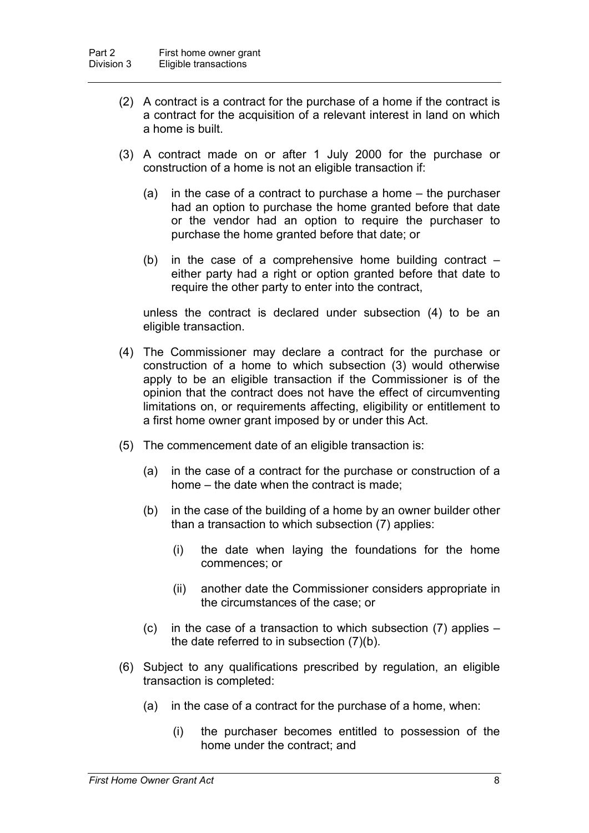- (2) A contract is a contract for the purchase of a home if the contract is a contract for the acquisition of a relevant interest in land on which a home is built.
- (3) A contract made on or after 1 July 2000 for the purchase or construction of a home is not an eligible transaction if:
	- (a) in the case of a contract to purchase a home the purchaser had an option to purchase the home granted before that date or the vendor had an option to require the purchaser to purchase the home granted before that date; or
	- (b) in the case of a comprehensive home building contract  $$ either party had a right or option granted before that date to require the other party to enter into the contract,

unless the contract is declared under subsection (4) to be an eligible transaction.

- (4) The Commissioner may declare a contract for the purchase or construction of a home to which subsection (3) would otherwise apply to be an eligible transaction if the Commissioner is of the opinion that the contract does not have the effect of circumventing limitations on, or requirements affecting, eligibility or entitlement to a first home owner grant imposed by or under this Act.
- (5) The commencement date of an eligible transaction is:
	- (a) in the case of a contract for the purchase or construction of a home – the date when the contract is made;
	- (b) in the case of the building of a home by an owner builder other than a transaction to which subsection (7) applies:
		- (i) the date when laying the foundations for the home commences; or
		- (ii) another date the Commissioner considers appropriate in the circumstances of the case; or
	- (c) in the case of a transaction to which subsection (7) applies the date referred to in subsection (7)(b).
- (6) Subject to any qualifications prescribed by regulation, an eligible transaction is completed:
	- (a) in the case of a contract for the purchase of a home, when:
		- (i) the purchaser becomes entitled to possession of the home under the contract; and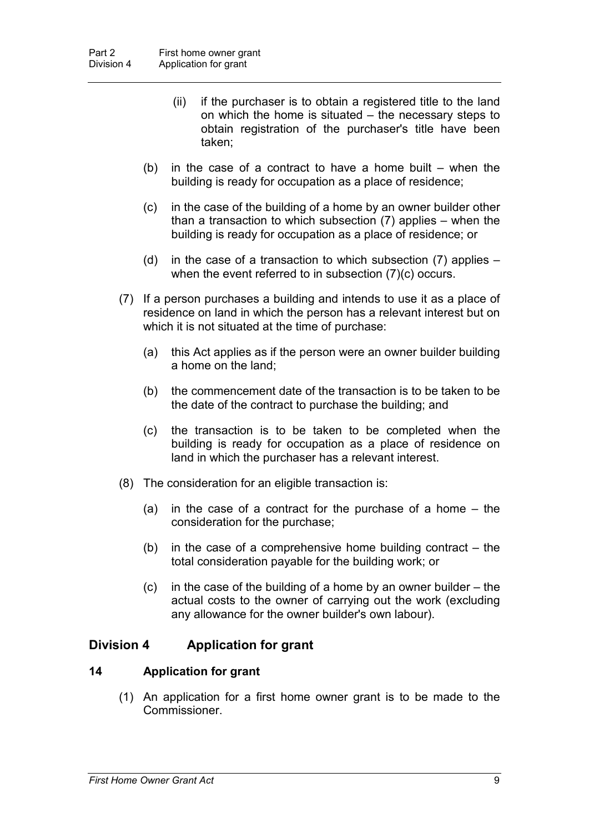- (ii) if the purchaser is to obtain a registered title to the land on which the home is situated – the necessary steps to obtain registration of the purchaser's title have been taken;
- (b) in the case of a contract to have a home built  $-$  when the building is ready for occupation as a place of residence;
- (c) in the case of the building of a home by an owner builder other than a transaction to which subsection (7) applies – when the building is ready for occupation as a place of residence; or
- (d) in the case of a transaction to which subsection (7) applies when the event referred to in subsection (7)(c) occurs.
- (7) If a person purchases a building and intends to use it as a place of residence on land in which the person has a relevant interest but on which it is not situated at the time of purchase:
	- (a) this Act applies as if the person were an owner builder building a home on the land;
	- (b) the commencement date of the transaction is to be taken to be the date of the contract to purchase the building; and
	- (c) the transaction is to be taken to be completed when the building is ready for occupation as a place of residence on land in which the purchaser has a relevant interest.
- (8) The consideration for an eligible transaction is:
	- (a) in the case of a contract for the purchase of a home the consideration for the purchase;
	- (b) in the case of a comprehensive home building contract the total consideration payable for the building work; or
	- (c) in the case of the building of a home by an owner builder the actual costs to the owner of carrying out the work (excluding any allowance for the owner builder's own labour).

### **Division 4 Application for grant**

### **14 Application for grant**

(1) An application for a first home owner grant is to be made to the **Commissioner**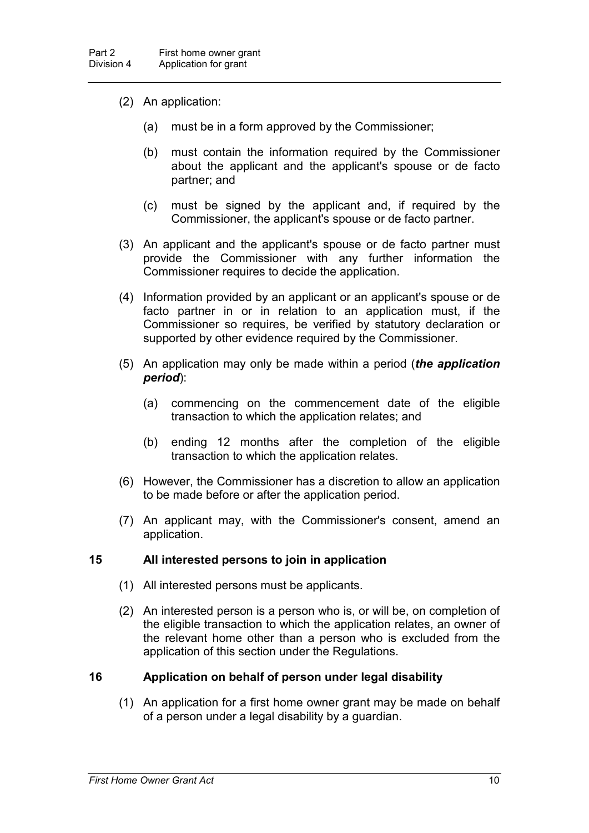- (2) An application:
	- (a) must be in a form approved by the Commissioner;
	- (b) must contain the information required by the Commissioner about the applicant and the applicant's spouse or de facto partner; and
	- (c) must be signed by the applicant and, if required by the Commissioner, the applicant's spouse or de facto partner.
- (3) An applicant and the applicant's spouse or de facto partner must provide the Commissioner with any further information the Commissioner requires to decide the application.
- (4) Information provided by an applicant or an applicant's spouse or de facto partner in or in relation to an application must, if the Commissioner so requires, be verified by statutory declaration or supported by other evidence required by the Commissioner.
- (5) An application may only be made within a period (*the application period*):
	- (a) commencing on the commencement date of the eligible transaction to which the application relates; and
	- (b) ending 12 months after the completion of the eligible transaction to which the application relates.
- (6) However, the Commissioner has a discretion to allow an application to be made before or after the application period.
- (7) An applicant may, with the Commissioner's consent, amend an application.

### **15 All interested persons to join in application**

- (1) All interested persons must be applicants.
- (2) An interested person is a person who is, or will be, on completion of the eligible transaction to which the application relates, an owner of the relevant home other than a person who is excluded from the application of this section under the Regulations.

### **16 Application on behalf of person under legal disability**

(1) An application for a first home owner grant may be made on behalf of a person under a legal disability by a guardian.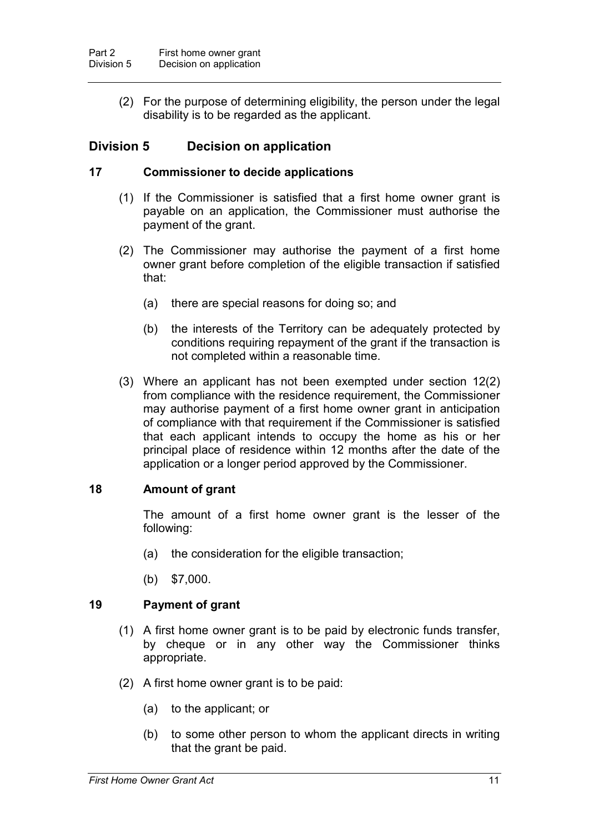(2) For the purpose of determining eligibility, the person under the legal disability is to be regarded as the applicant.

### **Division 5 Decision on application**

### **17 Commissioner to decide applications**

- (1) If the Commissioner is satisfied that a first home owner grant is payable on an application, the Commissioner must authorise the payment of the grant.
- (2) The Commissioner may authorise the payment of a first home owner grant before completion of the eligible transaction if satisfied that:
	- (a) there are special reasons for doing so; and
	- (b) the interests of the Territory can be adequately protected by conditions requiring repayment of the grant if the transaction is not completed within a reasonable time.
- (3) Where an applicant has not been exempted under section 12(2) from compliance with the residence requirement, the Commissioner may authorise payment of a first home owner grant in anticipation of compliance with that requirement if the Commissioner is satisfied that each applicant intends to occupy the home as his or her principal place of residence within 12 months after the date of the application or a longer period approved by the Commissioner.

### **18 Amount of grant**

The amount of a first home owner grant is the lesser of the following:

- (a) the consideration for the eligible transaction;
- (b) \$7,000.

### **19 Payment of grant**

- (1) A first home owner grant is to be paid by electronic funds transfer, by cheque or in any other way the Commissioner thinks appropriate.
- (2) A first home owner grant is to be paid:
	- (a) to the applicant; or
	- (b) to some other person to whom the applicant directs in writing that the grant be paid.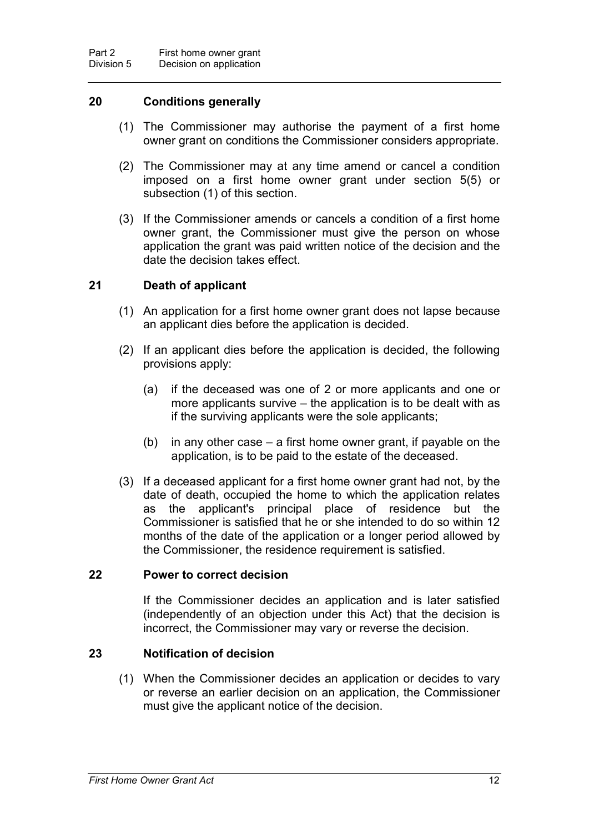### **20 Conditions generally**

- (1) The Commissioner may authorise the payment of a first home owner grant on conditions the Commissioner considers appropriate.
- (2) The Commissioner may at any time amend or cancel a condition imposed on a first home owner grant under section 5(5) or subsection (1) of this section.
- (3) If the Commissioner amends or cancels a condition of a first home owner grant, the Commissioner must give the person on whose application the grant was paid written notice of the decision and the date the decision takes effect.

### **21 Death of applicant**

- (1) An application for a first home owner grant does not lapse because an applicant dies before the application is decided.
- (2) If an applicant dies before the application is decided, the following provisions apply:
	- (a) if the deceased was one of 2 or more applicants and one or more applicants survive – the application is to be dealt with as if the surviving applicants were the sole applicants;
	- (b) in any other case a first home owner grant, if payable on the application, is to be paid to the estate of the deceased.
- (3) If a deceased applicant for a first home owner grant had not, by the date of death, occupied the home to which the application relates as the applicant's principal place of residence but the Commissioner is satisfied that he or she intended to do so within 12 months of the date of the application or a longer period allowed by the Commissioner, the residence requirement is satisfied.

### **22 Power to correct decision**

If the Commissioner decides an application and is later satisfied (independently of an objection under this Act) that the decision is incorrect, the Commissioner may vary or reverse the decision.

### **23 Notification of decision**

(1) When the Commissioner decides an application or decides to vary or reverse an earlier decision on an application, the Commissioner must give the applicant notice of the decision.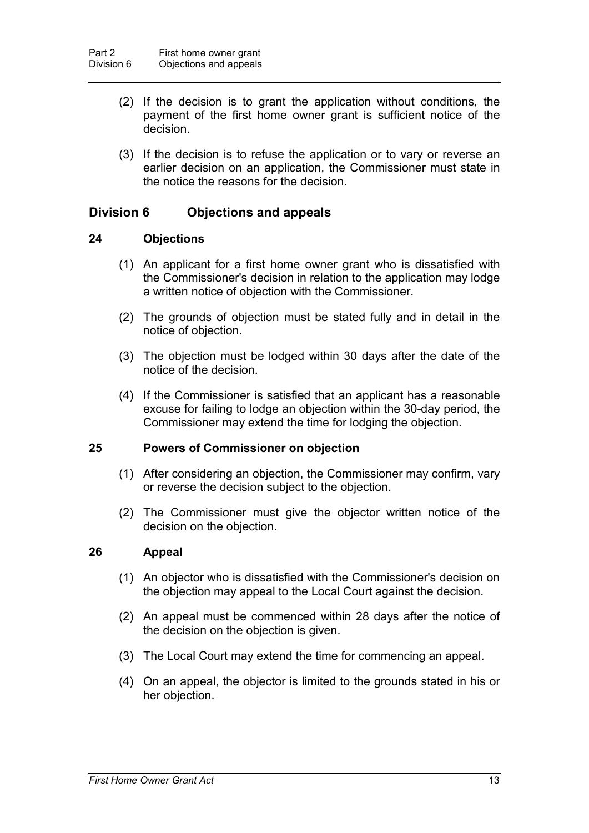- (2) If the decision is to grant the application without conditions, the payment of the first home owner grant is sufficient notice of the decision.
- (3) If the decision is to refuse the application or to vary or reverse an earlier decision on an application, the Commissioner must state in the notice the reasons for the decision.

### **Division 6 Objections and appeals**

### **24 Objections**

- (1) An applicant for a first home owner grant who is dissatisfied with the Commissioner's decision in relation to the application may lodge a written notice of objection with the Commissioner.
- (2) The grounds of objection must be stated fully and in detail in the notice of objection.
- (3) The objection must be lodged within 30 days after the date of the notice of the decision.
- (4) If the Commissioner is satisfied that an applicant has a reasonable excuse for failing to lodge an objection within the 30-day period, the Commissioner may extend the time for lodging the objection.

### **25 Powers of Commissioner on objection**

- (1) After considering an objection, the Commissioner may confirm, vary or reverse the decision subject to the objection.
- (2) The Commissioner must give the objector written notice of the decision on the objection.

### **26 Appeal**

- (1) An objector who is dissatisfied with the Commissioner's decision on the objection may appeal to the Local Court against the decision.
- (2) An appeal must be commenced within 28 days after the notice of the decision on the objection is given.
- (3) The Local Court may extend the time for commencing an appeal.
- (4) On an appeal, the objector is limited to the grounds stated in his or her objection.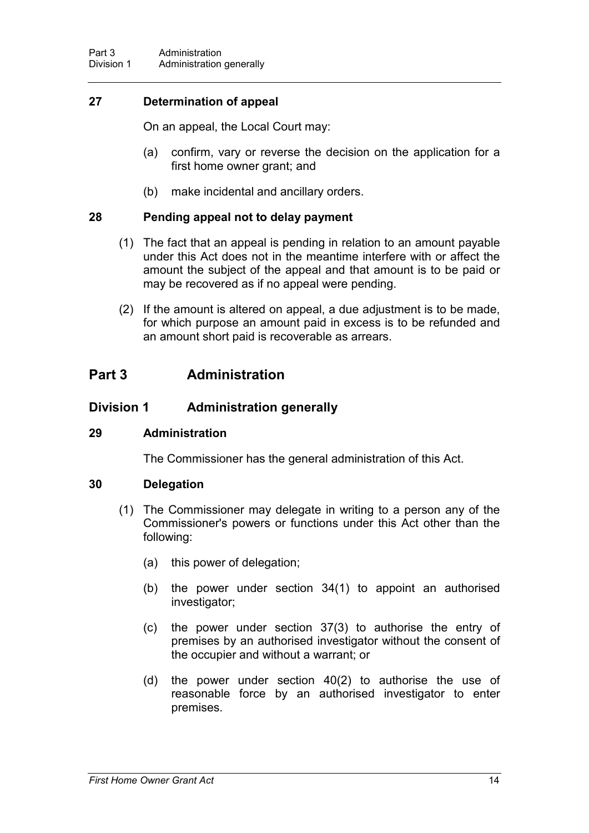### **27 Determination of appeal**

On an appeal, the Local Court may:

- (a) confirm, vary or reverse the decision on the application for a first home owner grant; and
- (b) make incidental and ancillary orders.

### **28 Pending appeal not to delay payment**

- (1) The fact that an appeal is pending in relation to an amount payable under this Act does not in the meantime interfere with or affect the amount the subject of the appeal and that amount is to be paid or may be recovered as if no appeal were pending.
- (2) If the amount is altered on appeal, a due adjustment is to be made, for which purpose an amount paid in excess is to be refunded and an amount short paid is recoverable as arrears.

### **Part 3 Administration**

### **Division 1 Administration generally**

### **29 Administration**

The Commissioner has the general administration of this Act.

### **30 Delegation**

- (1) The Commissioner may delegate in writing to a person any of the Commissioner's powers or functions under this Act other than the following:
	- (a) this power of delegation;
	- (b) the power under section 34(1) to appoint an authorised investigator;
	- (c) the power under section 37(3) to authorise the entry of premises by an authorised investigator without the consent of the occupier and without a warrant; or
	- (d) the power under section 40(2) to authorise the use of reasonable force by an authorised investigator to enter premises.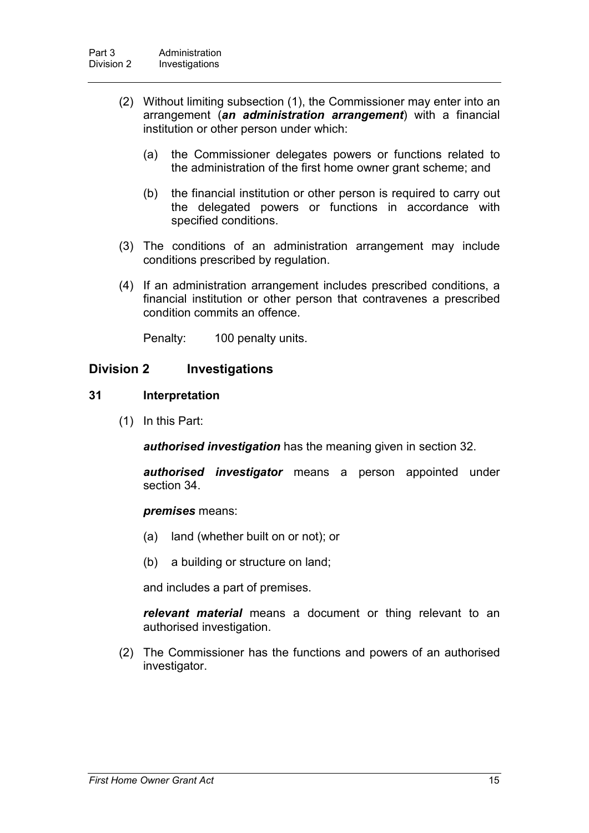- (2) Without limiting subsection (1), the Commissioner may enter into an arrangement (*an administration arrangement*) with a financial institution or other person under which:
	- (a) the Commissioner delegates powers or functions related to the administration of the first home owner grant scheme; and
	- (b) the financial institution or other person is required to carry out the delegated powers or functions in accordance with specified conditions.
- (3) The conditions of an administration arrangement may include conditions prescribed by regulation.
- (4) If an administration arrangement includes prescribed conditions, a financial institution or other person that contravenes a prescribed condition commits an offence.

Penalty: 100 penalty units.

### **Division 2 Investigations**

#### **31 Interpretation**

(1) In this Part:

*authorised investigation* has the meaning given in section 32.

*authorised investigator* means a person appointed under section 34.

#### *premises* means:

- (a) land (whether built on or not); or
- (b) a building or structure on land;

and includes a part of premises.

*relevant material* means a document or thing relevant to an authorised investigation.

(2) The Commissioner has the functions and powers of an authorised investigator.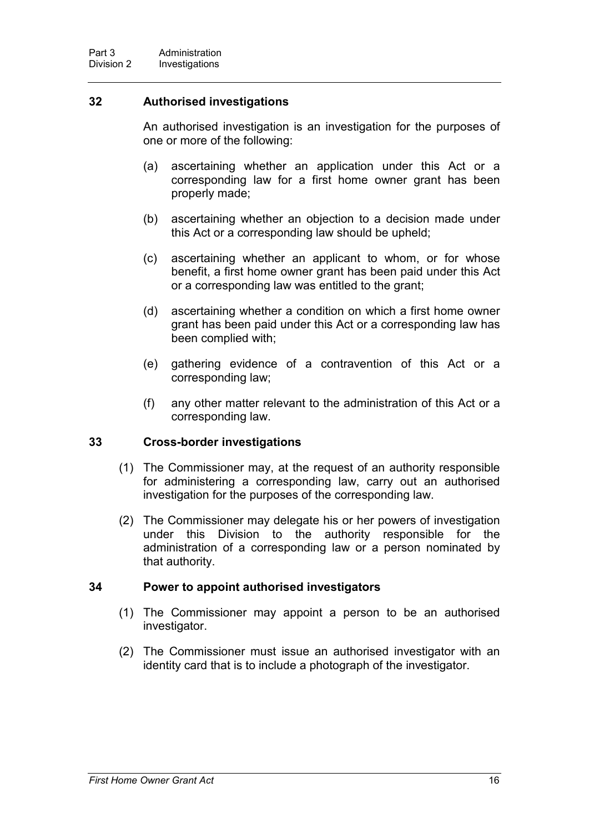### **32 Authorised investigations**

An authorised investigation is an investigation for the purposes of one or more of the following:

- (a) ascertaining whether an application under this Act or a corresponding law for a first home owner grant has been properly made;
- (b) ascertaining whether an objection to a decision made under this Act or a corresponding law should be upheld;
- (c) ascertaining whether an applicant to whom, or for whose benefit, a first home owner grant has been paid under this Act or a corresponding law was entitled to the grant;
- (d) ascertaining whether a condition on which a first home owner grant has been paid under this Act or a corresponding law has been complied with;
- (e) gathering evidence of a contravention of this Act or a corresponding law;
- (f) any other matter relevant to the administration of this Act or a corresponding law.

### **33 Cross-border investigations**

- (1) The Commissioner may, at the request of an authority responsible for administering a corresponding law, carry out an authorised investigation for the purposes of the corresponding law.
- (2) The Commissioner may delegate his or her powers of investigation under this Division to the authority responsible for the administration of a corresponding law or a person nominated by that authority.

### **34 Power to appoint authorised investigators**

- (1) The Commissioner may appoint a person to be an authorised investigator.
- (2) The Commissioner must issue an authorised investigator with an identity card that is to include a photograph of the investigator.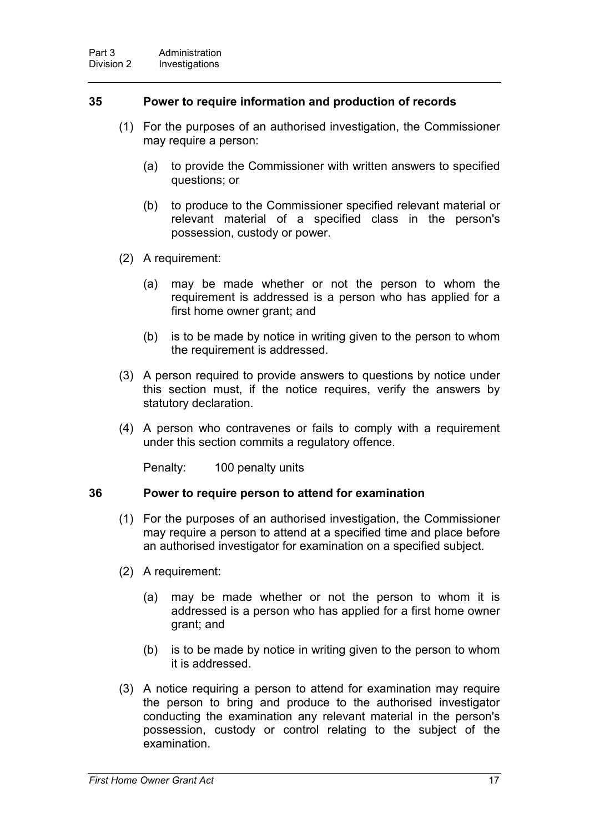### **35 Power to require information and production of records**

- (1) For the purposes of an authorised investigation, the Commissioner may require a person:
	- (a) to provide the Commissioner with written answers to specified questions; or
	- (b) to produce to the Commissioner specified relevant material or relevant material of a specified class in the person's possession, custody or power.
- (2) A requirement:
	- (a) may be made whether or not the person to whom the requirement is addressed is a person who has applied for a first home owner grant; and
	- (b) is to be made by notice in writing given to the person to whom the requirement is addressed.
- (3) A person required to provide answers to questions by notice under this section must, if the notice requires, verify the answers by statutory declaration.
- (4) A person who contravenes or fails to comply with a requirement under this section commits a regulatory offence.

Penalty: 100 penalty units

#### **36 Power to require person to attend for examination**

- (1) For the purposes of an authorised investigation, the Commissioner may require a person to attend at a specified time and place before an authorised investigator for examination on a specified subject.
- (2) A requirement:
	- (a) may be made whether or not the person to whom it is addressed is a person who has applied for a first home owner grant; and
	- (b) is to be made by notice in writing given to the person to whom it is addressed.
- (3) A notice requiring a person to attend for examination may require the person to bring and produce to the authorised investigator conducting the examination any relevant material in the person's possession, custody or control relating to the subject of the examination.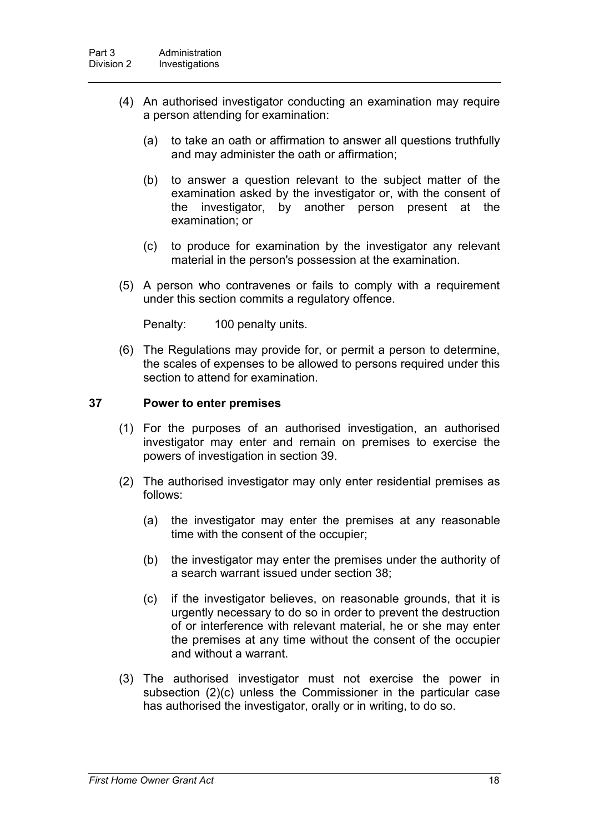- (4) An authorised investigator conducting an examination may require a person attending for examination:
	- (a) to take an oath or affirmation to answer all questions truthfully and may administer the oath or affirmation;
	- (b) to answer a question relevant to the subject matter of the examination asked by the investigator or, with the consent of the investigator, by another person present at the examination; or
	- (c) to produce for examination by the investigator any relevant material in the person's possession at the examination.
- (5) A person who contravenes or fails to comply with a requirement under this section commits a regulatory offence.

Penalty: 100 penalty units.

(6) The Regulations may provide for, or permit a person to determine, the scales of expenses to be allowed to persons required under this section to attend for examination.

#### **37 Power to enter premises**

- (1) For the purposes of an authorised investigation, an authorised investigator may enter and remain on premises to exercise the powers of investigation in section 39.
- (2) The authorised investigator may only enter residential premises as follows:
	- (a) the investigator may enter the premises at any reasonable time with the consent of the occupier;
	- (b) the investigator may enter the premises under the authority of a search warrant issued under section 38;
	- (c) if the investigator believes, on reasonable grounds, that it is urgently necessary to do so in order to prevent the destruction of or interference with relevant material, he or she may enter the premises at any time without the consent of the occupier and without a warrant.
- (3) The authorised investigator must not exercise the power in subsection (2)(c) unless the Commissioner in the particular case has authorised the investigator, orally or in writing, to do so.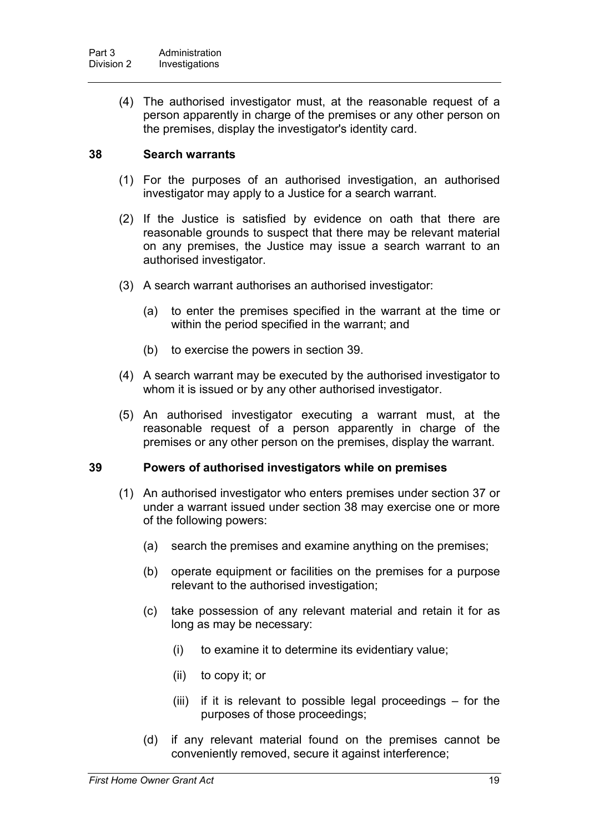(4) The authorised investigator must, at the reasonable request of a person apparently in charge of the premises or any other person on the premises, display the investigator's identity card.

### **38 Search warrants**

- (1) For the purposes of an authorised investigation, an authorised investigator may apply to a Justice for a search warrant.
- (2) If the Justice is satisfied by evidence on oath that there are reasonable grounds to suspect that there may be relevant material on any premises, the Justice may issue a search warrant to an authorised investigator.
- (3) A search warrant authorises an authorised investigator:
	- (a) to enter the premises specified in the warrant at the time or within the period specified in the warrant; and
	- (b) to exercise the powers in section 39.
- (4) A search warrant may be executed by the authorised investigator to whom it is issued or by any other authorised investigator.
- (5) An authorised investigator executing a warrant must, at the reasonable request of a person apparently in charge of the premises or any other person on the premises, display the warrant.

### **39 Powers of authorised investigators while on premises**

- (1) An authorised investigator who enters premises under section 37 or under a warrant issued under section 38 may exercise one or more of the following powers:
	- (a) search the premises and examine anything on the premises;
	- (b) operate equipment or facilities on the premises for a purpose relevant to the authorised investigation;
	- (c) take possession of any relevant material and retain it for as long as may be necessary:
		- (i) to examine it to determine its evidentiary value;
		- (ii) to copy it; or
		- (iii) if it is relevant to possible legal proceedings for the purposes of those proceedings;
	- (d) if any relevant material found on the premises cannot be conveniently removed, secure it against interference;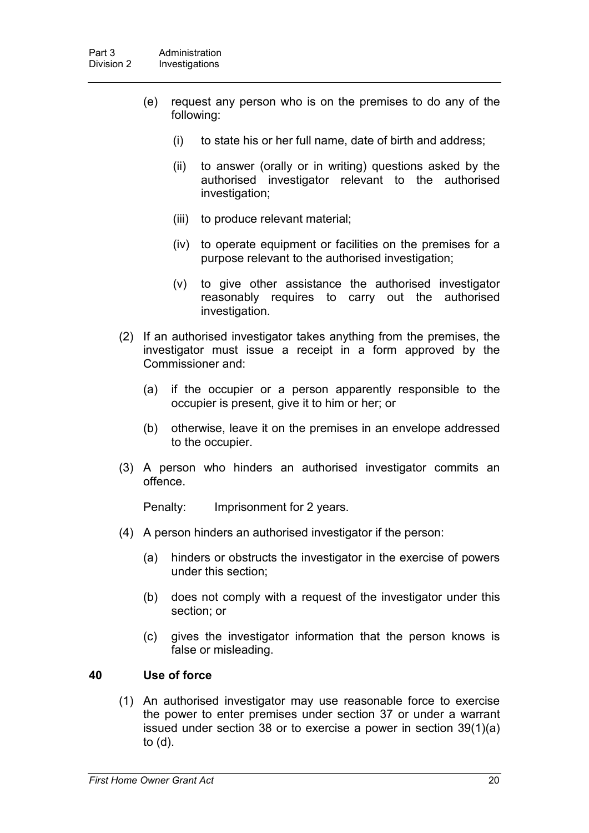- (e) request any person who is on the premises to do any of the following:
	- (i) to state his or her full name, date of birth and address;
	- (ii) to answer (orally or in writing) questions asked by the authorised investigator relevant to the authorised investigation;
	- (iii) to produce relevant material;
	- (iv) to operate equipment or facilities on the premises for a purpose relevant to the authorised investigation;
	- (v) to give other assistance the authorised investigator reasonably requires to carry out the authorised investigation.
- (2) If an authorised investigator takes anything from the premises, the investigator must issue a receipt in a form approved by the Commissioner and:
	- (a) if the occupier or a person apparently responsible to the occupier is present, give it to him or her; or
	- (b) otherwise, leave it on the premises in an envelope addressed to the occupier.
- (3) A person who hinders an authorised investigator commits an offence.

Penalty: Imprisonment for 2 years.

- (4) A person hinders an authorised investigator if the person:
	- (a) hinders or obstructs the investigator in the exercise of powers under this section;
	- (b) does not comply with a request of the investigator under this section; or
	- (c) gives the investigator information that the person knows is false or misleading.

#### **40 Use of force**

(1) An authorised investigator may use reasonable force to exercise the power to enter premises under section 37 or under a warrant issued under section 38 or to exercise a power in section 39(1)(a) to (d).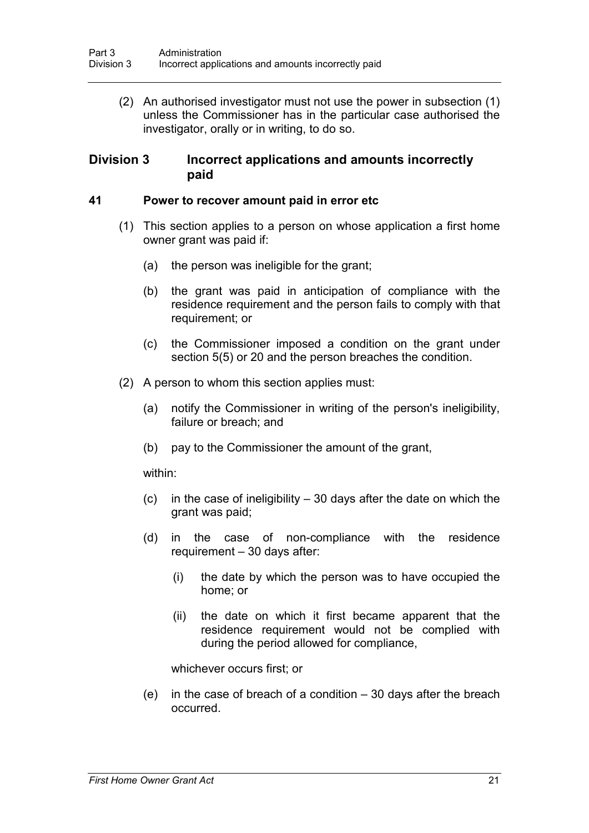(2) An authorised investigator must not use the power in subsection (1) unless the Commissioner has in the particular case authorised the investigator, orally or in writing, to do so.

### **Division 3 Incorrect applications and amounts incorrectly paid**

#### **41 Power to recover amount paid in error etc**

- (1) This section applies to a person on whose application a first home owner grant was paid if:
	- (a) the person was ineligible for the grant;
	- (b) the grant was paid in anticipation of compliance with the residence requirement and the person fails to comply with that requirement; or
	- (c) the Commissioner imposed a condition on the grant under section 5(5) or 20 and the person breaches the condition.
- (2) A person to whom this section applies must:
	- (a) notify the Commissioner in writing of the person's ineligibility, failure or breach; and
	- (b) pay to the Commissioner the amount of the grant,

within:

- (c) in the case of ineligibility 30 days after the date on which the grant was paid;
- (d) in the case of non-compliance with the residence requirement – 30 days after:
	- (i) the date by which the person was to have occupied the home; or
	- (ii) the date on which it first became apparent that the residence requirement would not be complied with during the period allowed for compliance,

whichever occurs first; or

(e) in the case of breach of a condition – 30 days after the breach occurred.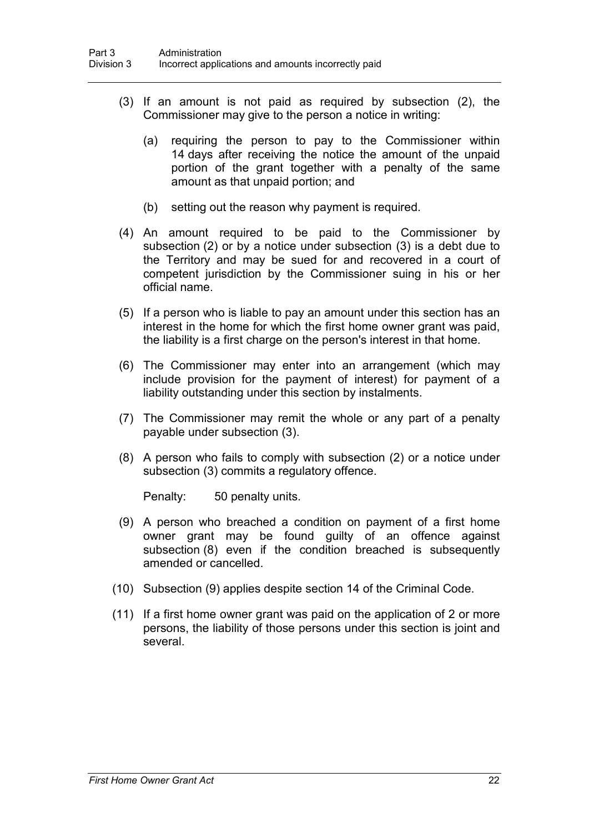- (3) If an amount is not paid as required by subsection (2), the Commissioner may give to the person a notice in writing:
	- (a) requiring the person to pay to the Commissioner within 14 days after receiving the notice the amount of the unpaid portion of the grant together with a penalty of the same amount as that unpaid portion; and
	- (b) setting out the reason why payment is required.
- (4) An amount required to be paid to the Commissioner by subsection (2) or by a notice under subsection (3) is a debt due to the Territory and may be sued for and recovered in a court of competent jurisdiction by the Commissioner suing in his or her official name.
- (5) If a person who is liable to pay an amount under this section has an interest in the home for which the first home owner grant was paid, the liability is a first charge on the person's interest in that home.
- (6) The Commissioner may enter into an arrangement (which may include provision for the payment of interest) for payment of a liability outstanding under this section by instalments.
- (7) The Commissioner may remit the whole or any part of a penalty payable under subsection (3).
- (8) A person who fails to comply with subsection (2) or a notice under subsection (3) commits a regulatory offence.

Penalty: 50 penalty units.

- (9) A person who breached a condition on payment of a first home owner grant may be found guilty of an offence against subsection (8) even if the condition breached is subsequently amended or cancelled.
- (10) Subsection (9) applies despite section 14 of the Criminal Code.
- (11) If a first home owner grant was paid on the application of 2 or more persons, the liability of those persons under this section is joint and several.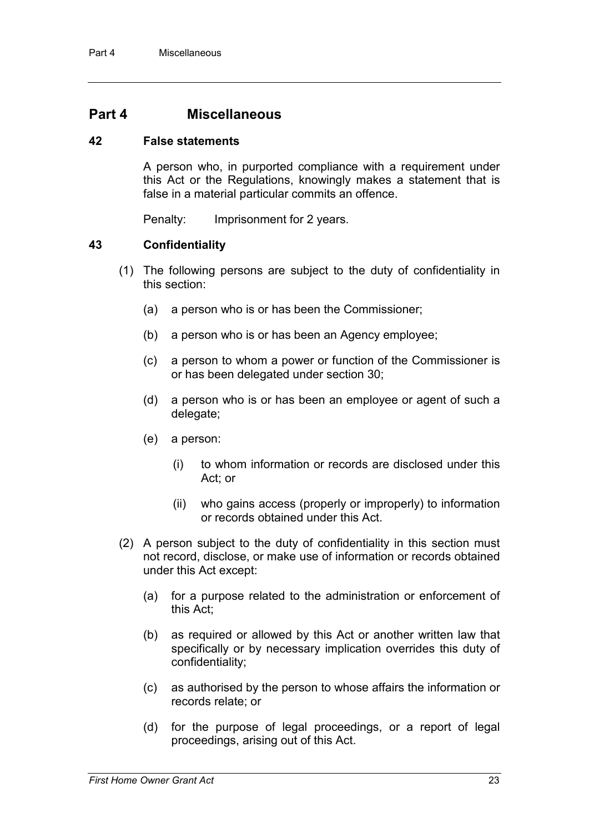### **Part 4 Miscellaneous**

### **42 False statements**

A person who, in purported compliance with a requirement under this Act or the Regulations, knowingly makes a statement that is false in a material particular commits an offence.

Penalty: Imprisonment for 2 years.

### **43 Confidentiality**

- (1) The following persons are subject to the duty of confidentiality in this section:
	- (a) a person who is or has been the Commissioner;
	- (b) a person who is or has been an Agency employee;
	- (c) a person to whom a power or function of the Commissioner is or has been delegated under section 30;
	- (d) a person who is or has been an employee or agent of such a delegate;
	- (e) a person:
		- (i) to whom information or records are disclosed under this Act; or
		- (ii) who gains access (properly or improperly) to information or records obtained under this Act.
- (2) A person subject to the duty of confidentiality in this section must not record, disclose, or make use of information or records obtained under this Act except:
	- (a) for a purpose related to the administration or enforcement of this Act;
	- (b) as required or allowed by this Act or another written law that specifically or by necessary implication overrides this duty of confidentiality;
	- (c) as authorised by the person to whose affairs the information or records relate; or
	- (d) for the purpose of legal proceedings, or a report of legal proceedings, arising out of this Act.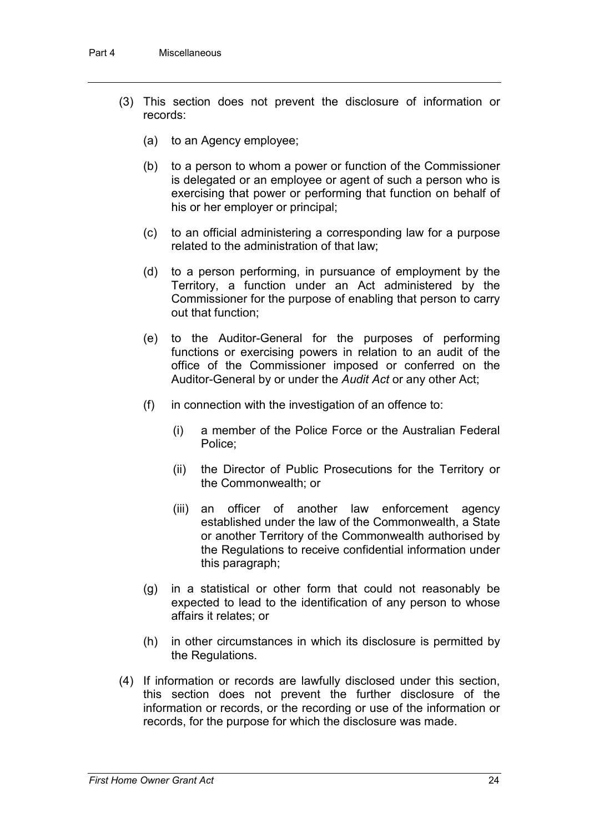- (3) This section does not prevent the disclosure of information or records:
	- (a) to an Agency employee;
	- (b) to a person to whom a power or function of the Commissioner is delegated or an employee or agent of such a person who is exercising that power or performing that function on behalf of his or her employer or principal;
	- (c) to an official administering a corresponding law for a purpose related to the administration of that law;
	- (d) to a person performing, in pursuance of employment by the Territory, a function under an Act administered by the Commissioner for the purpose of enabling that person to carry out that function;
	- (e) to the Auditor-General for the purposes of performing functions or exercising powers in relation to an audit of the office of the Commissioner imposed or conferred on the Auditor-General by or under the *Audit Act* or any other Act;
	- (f) in connection with the investigation of an offence to:
		- (i) a member of the Police Force or the Australian Federal Police;
		- (ii) the Director of Public Prosecutions for the Territory or the Commonwealth; or
		- (iii) an officer of another law enforcement agency established under the law of the Commonwealth, a State or another Territory of the Commonwealth authorised by the Regulations to receive confidential information under this paragraph;
	- (g) in a statistical or other form that could not reasonably be expected to lead to the identification of any person to whose affairs it relates; or
	- (h) in other circumstances in which its disclosure is permitted by the Regulations.
- (4) If information or records are lawfully disclosed under this section, this section does not prevent the further disclosure of the information or records, or the recording or use of the information or records, for the purpose for which the disclosure was made.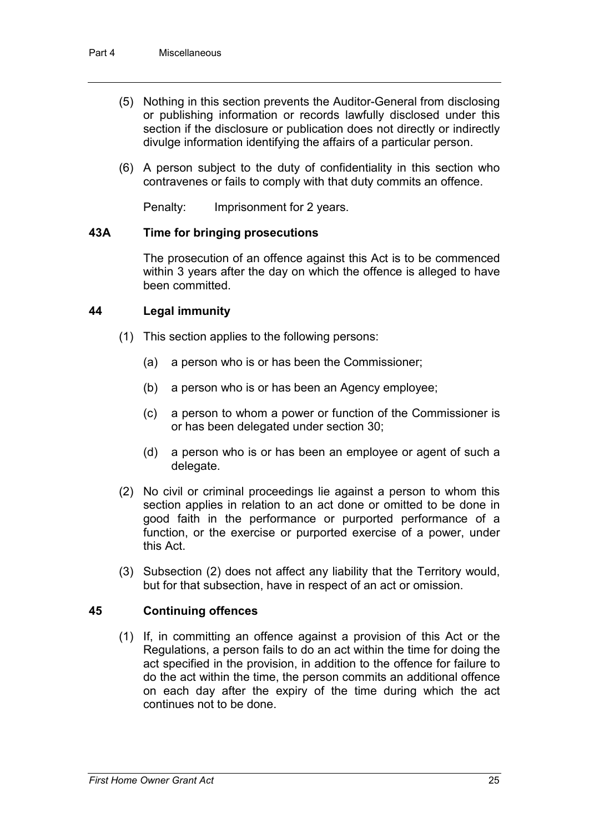- (5) Nothing in this section prevents the Auditor-General from disclosing or publishing information or records lawfully disclosed under this section if the disclosure or publication does not directly or indirectly divulge information identifying the affairs of a particular person.
- (6) A person subject to the duty of confidentiality in this section who contravenes or fails to comply with that duty commits an offence.

Penalty: Imprisonment for 2 years.

#### **43A Time for bringing prosecutions**

The prosecution of an offence against this Act is to be commenced within 3 years after the day on which the offence is alleged to have been committed.

### **44 Legal immunity**

- (1) This section applies to the following persons:
	- (a) a person who is or has been the Commissioner;
	- (b) a person who is or has been an Agency employee;
	- (c) a person to whom a power or function of the Commissioner is or has been delegated under section 30;
	- (d) a person who is or has been an employee or agent of such a delegate.
- (2) No civil or criminal proceedings lie against a person to whom this section applies in relation to an act done or omitted to be done in good faith in the performance or purported performance of a function, or the exercise or purported exercise of a power, under this Act.
- (3) Subsection (2) does not affect any liability that the Territory would, but for that subsection, have in respect of an act or omission.

### **45 Continuing offences**

(1) If, in committing an offence against a provision of this Act or the Regulations, a person fails to do an act within the time for doing the act specified in the provision, in addition to the offence for failure to do the act within the time, the person commits an additional offence on each day after the expiry of the time during which the act continues not to be done.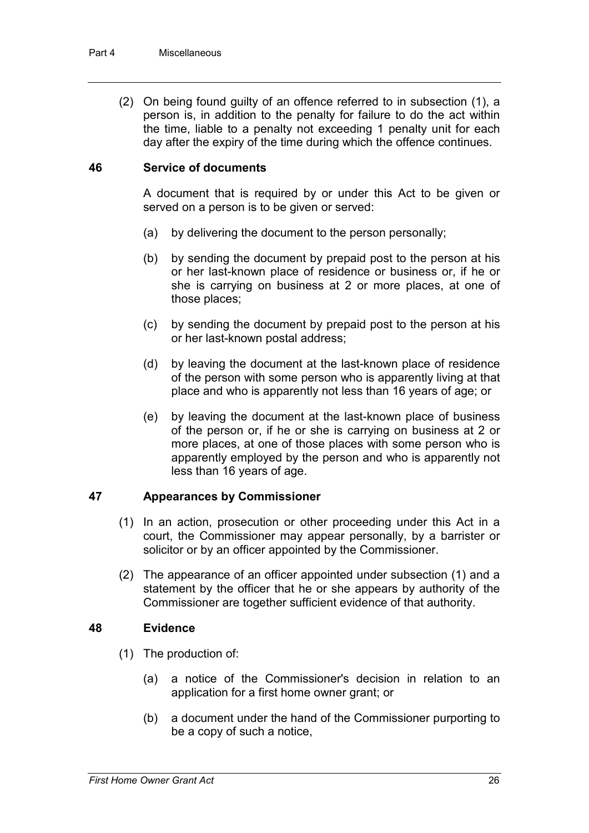(2) On being found guilty of an offence referred to in subsection (1), a person is, in addition to the penalty for failure to do the act within the time, liable to a penalty not exceeding 1 penalty unit for each day after the expiry of the time during which the offence continues.

### **46 Service of documents**

A document that is required by or under this Act to be given or served on a person is to be given or served:

- (a) by delivering the document to the person personally;
- (b) by sending the document by prepaid post to the person at his or her last-known place of residence or business or, if he or she is carrying on business at 2 or more places, at one of those places;
- (c) by sending the document by prepaid post to the person at his or her last-known postal address;
- (d) by leaving the document at the last-known place of residence of the person with some person who is apparently living at that place and who is apparently not less than 16 years of age; or
- (e) by leaving the document at the last-known place of business of the person or, if he or she is carrying on business at 2 or more places, at one of those places with some person who is apparently employed by the person and who is apparently not less than 16 years of age.

### **47 Appearances by Commissioner**

- (1) In an action, prosecution or other proceeding under this Act in a court, the Commissioner may appear personally, by a barrister or solicitor or by an officer appointed by the Commissioner.
- (2) The appearance of an officer appointed under subsection (1) and a statement by the officer that he or she appears by authority of the Commissioner are together sufficient evidence of that authority.

### **48 Evidence**

- (1) The production of:
	- (a) a notice of the Commissioner's decision in relation to an application for a first home owner grant; or
	- (b) a document under the hand of the Commissioner purporting to be a copy of such a notice,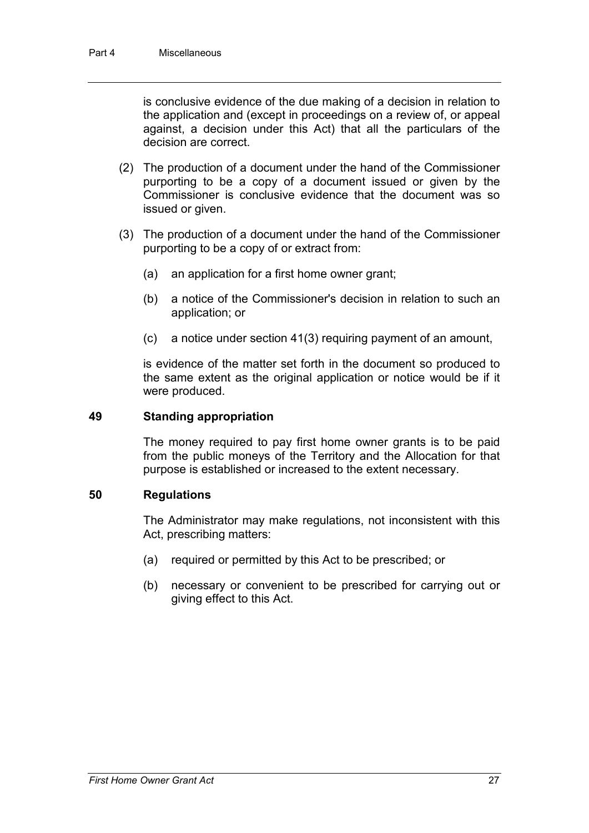is conclusive evidence of the due making of a decision in relation to the application and (except in proceedings on a review of, or appeal against, a decision under this Act) that all the particulars of the decision are correct.

- (2) The production of a document under the hand of the Commissioner purporting to be a copy of a document issued or given by the Commissioner is conclusive evidence that the document was so issued or given.
- (3) The production of a document under the hand of the Commissioner purporting to be a copy of or extract from:
	- (a) an application for a first home owner grant;
	- (b) a notice of the Commissioner's decision in relation to such an application; or
	- (c) a notice under section 41(3) requiring payment of an amount,

is evidence of the matter set forth in the document so produced to the same extent as the original application or notice would be if it were produced.

#### **49 Standing appropriation**

The money required to pay first home owner grants is to be paid from the public moneys of the Territory and the Allocation for that purpose is established or increased to the extent necessary.

### **50 Regulations**

The Administrator may make regulations, not inconsistent with this Act, prescribing matters:

- (a) required or permitted by this Act to be prescribed; or
- (b) necessary or convenient to be prescribed for carrying out or giving effect to this Act.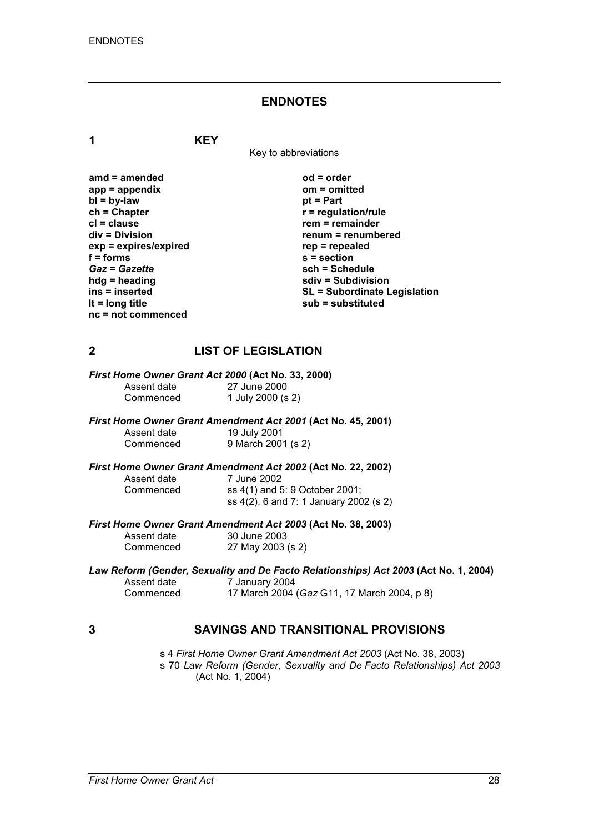#### **ENDNOTES**

**1 KEY**

Key to abbreviations

**amd = amended od = order app = appendix om = omitted bl = by-law**<br>**ch = Chapter ch = Chapter r = regulation/rule cl = clause rem = remainder**  $exp = exp$ **ires/expired**<br>**f** = forms **f** = forms <br> **s** = section<br> **Gaz** = Gazette <br> **sch** = Sche *Gaz* = *Gazette* **being the schiff of the schedule**<br> **bdd** = heading **being the schedule**<br> **schiff of the schedule**<br> **schiff in the schedule**<br> **schiff in the schedule hdg = heading sdiv = Subdivision nc = not commenced**

**renum = renumbered**<br>rep = repealed **ins = inserted SL = Subordinate Legislation lt = long title sub = substituted**

### **2 LIST OF LEGISLATION**

*First Home Owner Grant Act 2000* **(Act No. 33, 2000)**

Assent date 27 June 2000<br>Commenced 1 July 2000 (s

# *First Home Owner Grant Amendment Act 2001* **(Act No. 45, 2001)**

1 July 2000 (s 2)

Assent date 19 July 2001<br>Commenced 9 March 200 9 March 2001 (s 2)

# *First Home Owner Grant Amendment Act 2002* **(Act No. 22, 2002)**

Assent date 7 June 2002<br>Commenced ss 4(1) and 5

ss 4(1) and 5: 9 October 2001; ss 4(2), 6 and 7: 1 January 2002 (s 2)

*First Home Owner Grant Amendment Act 2003* **(Act No. 38, 2003)** Assent da

| Assent date | 30 June 2003      |
|-------------|-------------------|
| Commenced   | 27 May 2003 (s 2) |

# *Law Reform (Gender, Sexuality and De Facto Relationships) Act 2003* **(Act No. 1, 2004)** Assent date  $\frac{7}{7}$  January 2004<br>Commenced 17 March 2004

Commenced 17 March 2004 (*Gaz* G11, 17 March 2004, p 8)

### **3 SAVINGS AND TRANSITIONAL PROVISIONS**

s 4 *First Home Owner Grant Amendment Act 2003* (Act No. 38, 2003) s 70 *Law Reform (Gender, Sexuality and De Facto Relationships) Act 2003* (Act No. 1, 2004)